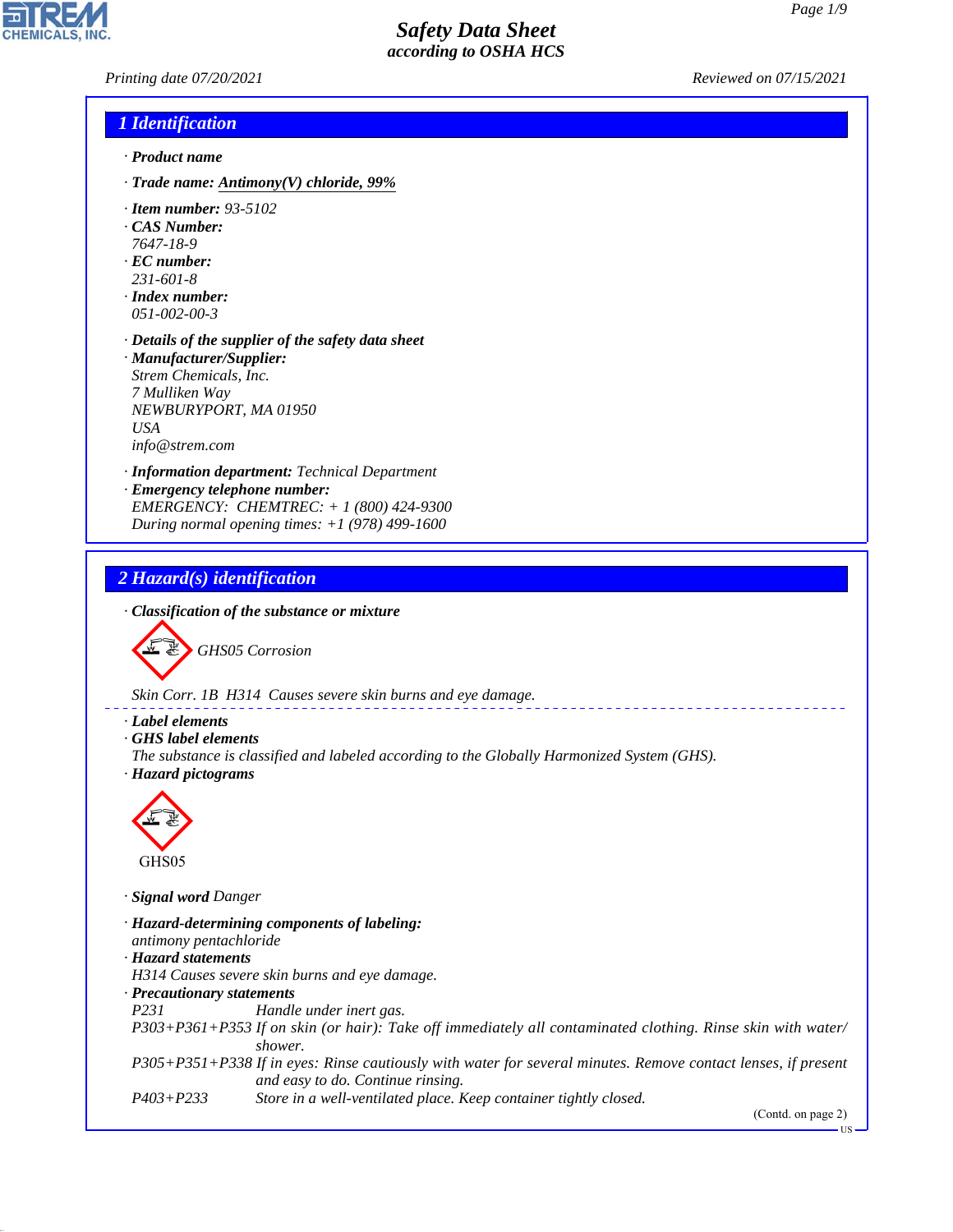*Printing date 07/20/2021 Reviewed on 07/15/2021*

#### *1 Identification*

- *· Product name*
- *· Trade name: Antimony(V) chloride, 99%*
- *· Item number: 93-5102*
- *· CAS Number:*
- *7647-18-9 · EC number:*
- *231-601-8*
- *· Index number: 051-002-00-3*
- *· Details of the supplier of the safety data sheet · Manufacturer/Supplier: Strem Chemicals, Inc. 7 Mulliken Way NEWBURYPORT, MA 01950 USA*

*info@strem.com*

- *· Information department: Technical Department · Emergency telephone number:*
- *EMERGENCY: CHEMTREC: + 1 (800) 424-9300 During normal opening times: +1 (978) 499-1600*

### *2 Hazard(s) identification*

*· Classification of the substance or mixture*



*Skin Corr. 1B H314 Causes severe skin burns and eye damage.*

- *· Label elements*
- *· GHS label elements*
- *The substance is classified and labeled according to the Globally Harmonized System (GHS). · Hazard pictograms*



44.1.1

*· Signal word Danger*

*· Hazard-determining components of labeling: antimony pentachloride · Hazard statements H314 Causes severe skin burns and eye damage. · Precautionary statements P231 Handle under inert gas. P303+P361+P353 If on skin (or hair): Take off immediately all contaminated clothing. Rinse skin with water/ shower. P305+P351+P338 If in eyes: Rinse cautiously with water for several minutes. Remove contact lenses, if present and easy to do. Continue rinsing. P403+P233 Store in a well-ventilated place. Keep container tightly closed.*

(Contd. on page 2)

US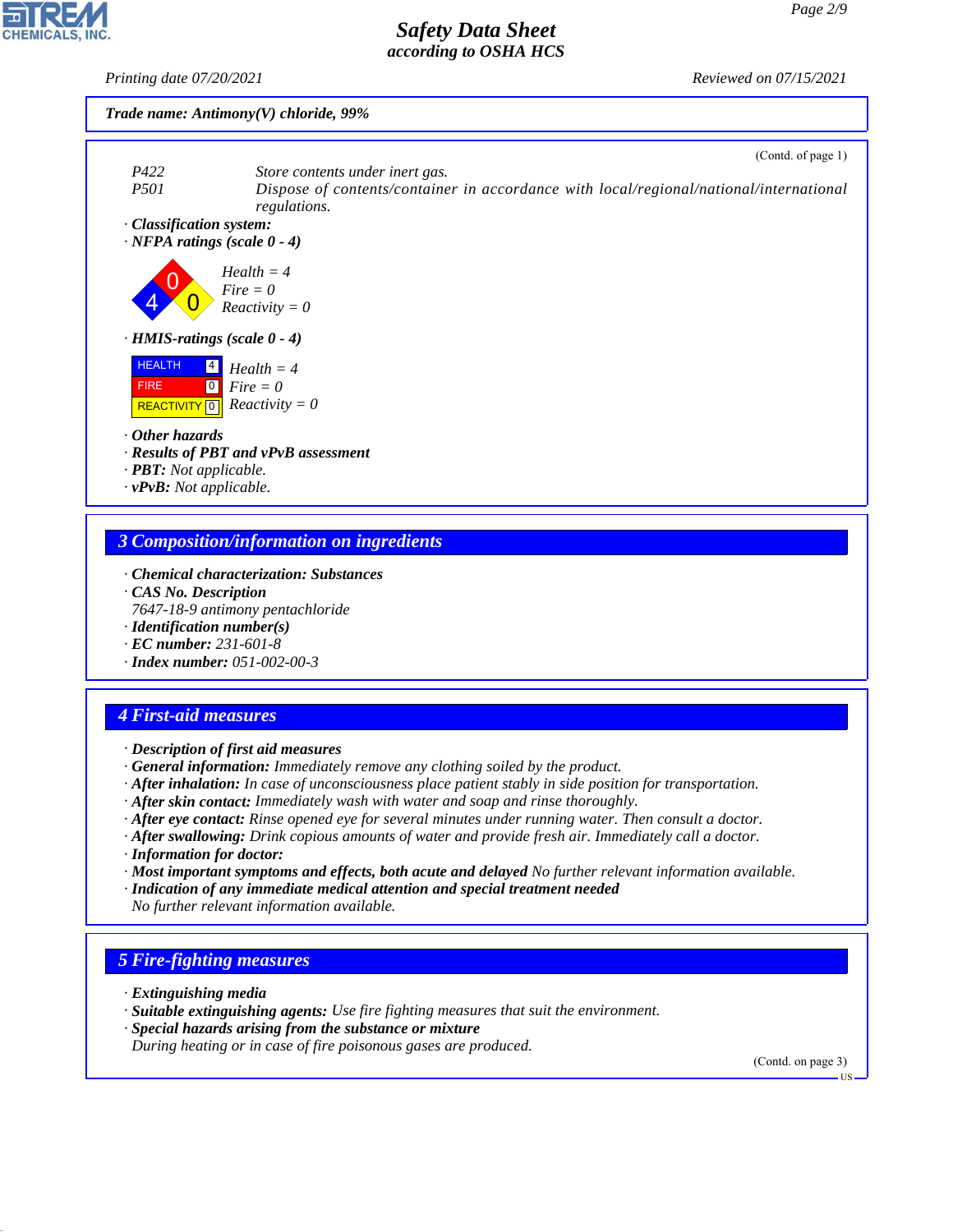*Printing date 07/20/2021 Reviewed on 07/15/2021*

#### *Trade name: Antimony(V) chloride, 99%*





### *3 Composition/information on ingredients*

- *· Chemical characterization: Substances · CAS No. Description*
- *7647-18-9 antimony pentachloride*
- *· Identification number(s)*
- *· EC number: 231-601-8*
- *· Index number: 051-002-00-3*

# *4 First-aid measures*

- *· Description of first aid measures*
- *· General information: Immediately remove any clothing soiled by the product.*
- *· After inhalation: In case of unconsciousness place patient stably in side position for transportation.*
- *· After skin contact: Immediately wash with water and soap and rinse thoroughly.*
- *· After eye contact: Rinse opened eye for several minutes under running water. Then consult a doctor.*
- *· After swallowing: Drink copious amounts of water and provide fresh air. Immediately call a doctor.*
- *· Information for doctor:*
- *· Most important symptoms and effects, both acute and delayed No further relevant information available.*
- *· Indication of any immediate medical attention and special treatment needed*
- *No further relevant information available.*

# *5 Fire-fighting measures*

*· Extinguishing media*

44.1.1

- *· Suitable extinguishing agents: Use fire fighting measures that suit the environment.*
- *· Special hazards arising from the substance or mixture*
- *During heating or in case of fire poisonous gases are produced.*

(Contd. on page 3)

US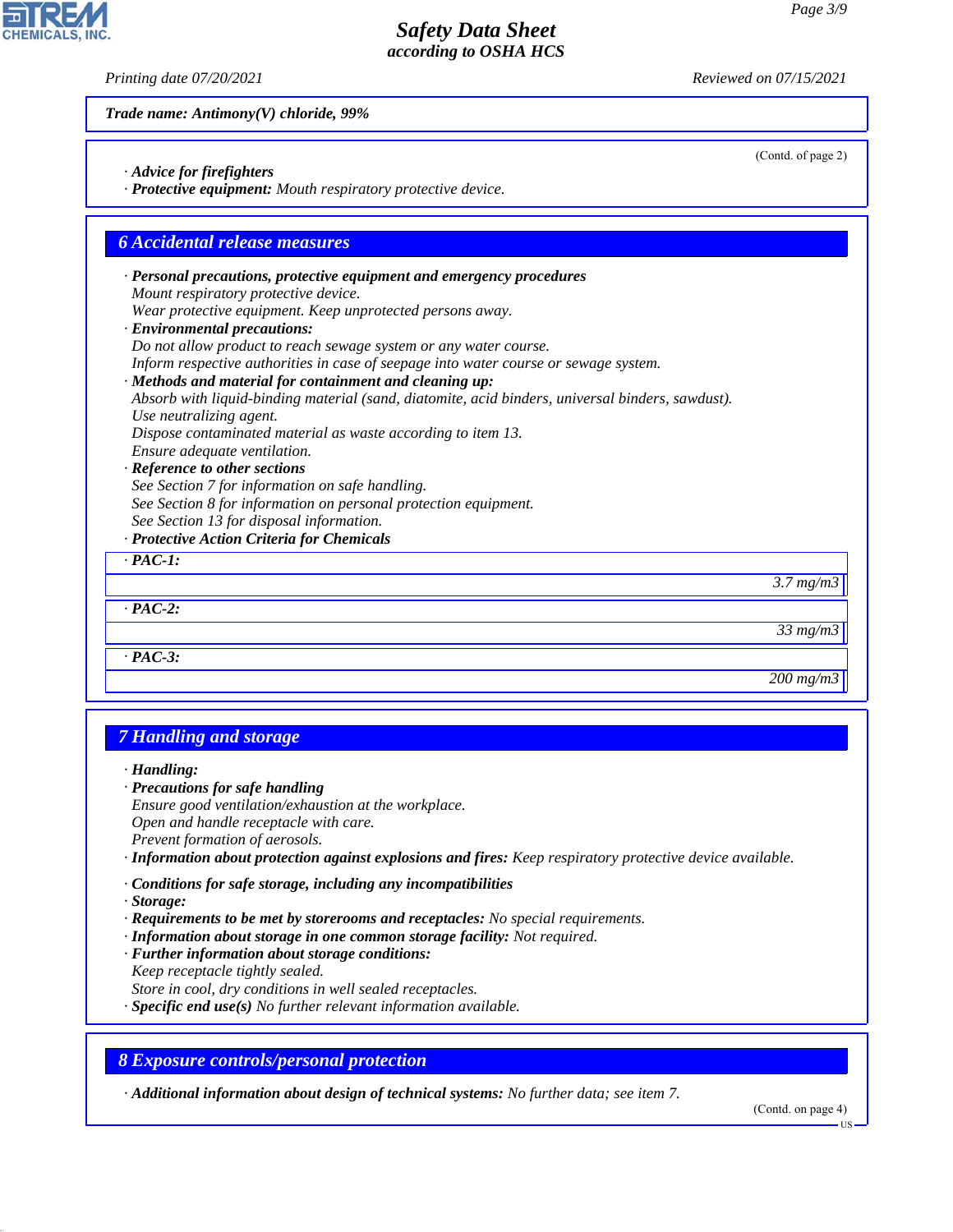(Contd. of page 2)

## *Safety Data Sheet according to OSHA HCS*

*Printing date 07/20/2021 Reviewed on 07/15/2021*

*Trade name: Antimony(V) chloride, 99%*

- *· Advice for firefighters*
- *· Protective equipment: Mouth respiratory protective device.*

#### *6 Accidental release measures*

- *· Personal precautions, protective equipment and emergency procedures Mount respiratory protective device.*
- *Wear protective equipment. Keep unprotected persons away.*
- *· Environmental precautions:*
- *Do not allow product to reach sewage system or any water course.*

*Inform respective authorities in case of seepage into water course or sewage system.*

#### *· Methods and material for containment and cleaning up:*

*Absorb with liquid-binding material (sand, diatomite, acid binders, universal binders, sawdust). Use neutralizing agent.*

*Dispose contaminated material as waste according to item 13.*

*Ensure adequate ventilation.*

*· Reference to other sections*

*See Section 7 for information on safe handling.*

- *See Section 8 for information on personal protection equipment.*
- *See Section 13 for disposal information.*
- *· Protective Action Criteria for Chemicals*

#### *· PAC-1:*

*3.7 mg/m3*

*· PAC-3:*

*· PAC-2:*

*200 mg/m3*

*33 mg/m3*

## *7 Handling and storage*

*· Handling:*

- *· Precautions for safe handling*
- *Ensure good ventilation/exhaustion at the workplace. Open and handle receptacle with care. Prevent formation of aerosols.*
- *· Information about protection against explosions and fires: Keep respiratory protective device available.*
- *· Conditions for safe storage, including any incompatibilities*
- *· Storage:*

44.1.1

- *· Requirements to be met by storerooms and receptacles: No special requirements.*
- *· Information about storage in one common storage facility: Not required.*
- *· Further information about storage conditions:*
- *Keep receptacle tightly sealed.*
- *Store in cool, dry conditions in well sealed receptacles.*
- *· Specific end use(s) No further relevant information available.*

*8 Exposure controls/personal protection*

*· Additional information about design of technical systems: No further data; see item 7.*

(Contd. on page 4)

US

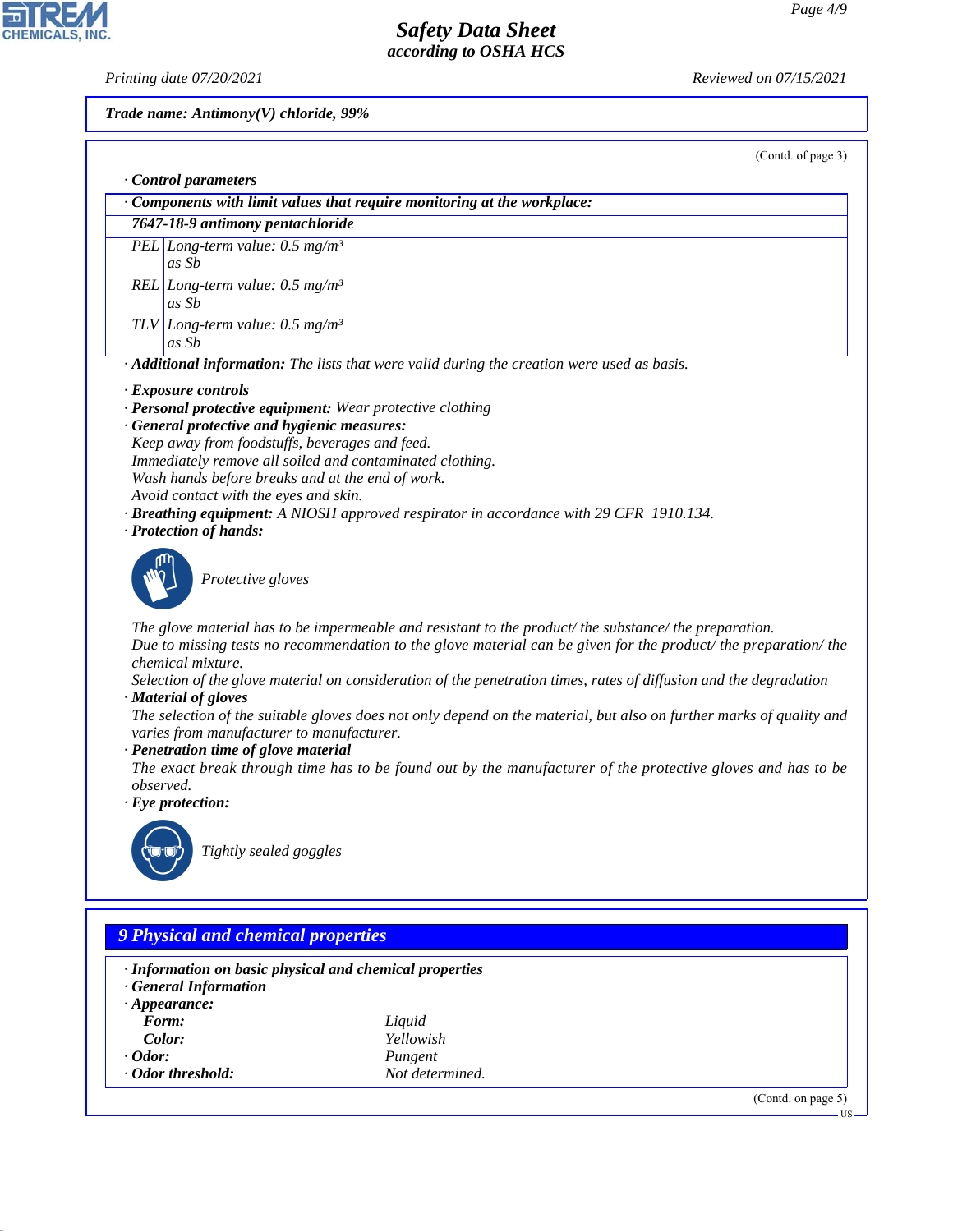CHEMICALS, INC.

*Printing date 07/20/2021 Reviewed on 07/15/2021*

*Trade name: Antimony(V) chloride, 99%*

(Contd. of page 3)

| Components with limit values that require monitoring at the workplace:<br>7647-18-9 antimony pentachloride<br>PEL Long-term value: $0.5$ mg/m <sup>3</sup><br>as Sb<br>REL Long-term value: $0.5 \text{ mg/m}^3$<br>as Sb<br>TLV Long-term value: $0.5 \text{ mg/m}^3$<br>as Sb<br>· Additional information: The lists that were valid during the creation were used as basis.<br>· Exposure controls<br>· Personal protective equipment: Wear protective clothing<br>· General protective and hygienic measures:<br>Keep away from foodstuffs, beverages and feed.<br>Immediately remove all soiled and contaminated clothing.<br>Wash hands before breaks and at the end of work.<br>Avoid contact with the eyes and skin.<br><b>· Breathing equipment:</b> A NIOSH approved respirator in accordance with 29 CFR 1910.134.<br>· Protection of hands:<br>Protective gloves<br>The glove material has to be impermeable and resistant to the product/ the substance/ the preparation.<br>Due to missing tests no recommendation to the glove material can be given for the product/ the preparation/ the<br>chemical mixture.<br>Selection of the glove material on consideration of the penetration times, rates of diffusion and the degradation<br>· Material of gloves<br>The selection of the suitable gloves does not only depend on the material, but also on further marks of quality and<br>varies from manufacturer to manufacturer.<br>· Penetration time of glove material<br>The exact break through time has to be found out by the manufacturer of the protective gloves and has to be<br>observed.<br>$\cdot$ Eye protection:<br>Tightly sealed goggles | · Control parameters |
|--------------------------------------------------------------------------------------------------------------------------------------------------------------------------------------------------------------------------------------------------------------------------------------------------------------------------------------------------------------------------------------------------------------------------------------------------------------------------------------------------------------------------------------------------------------------------------------------------------------------------------------------------------------------------------------------------------------------------------------------------------------------------------------------------------------------------------------------------------------------------------------------------------------------------------------------------------------------------------------------------------------------------------------------------------------------------------------------------------------------------------------------------------------------------------------------------------------------------------------------------------------------------------------------------------------------------------------------------------------------------------------------------------------------------------------------------------------------------------------------------------------------------------------------------------------------------------------------------------------------------------------------------------------------------|----------------------|
|                                                                                                                                                                                                                                                                                                                                                                                                                                                                                                                                                                                                                                                                                                                                                                                                                                                                                                                                                                                                                                                                                                                                                                                                                                                                                                                                                                                                                                                                                                                                                                                                                                                                          |                      |
|                                                                                                                                                                                                                                                                                                                                                                                                                                                                                                                                                                                                                                                                                                                                                                                                                                                                                                                                                                                                                                                                                                                                                                                                                                                                                                                                                                                                                                                                                                                                                                                                                                                                          |                      |
|                                                                                                                                                                                                                                                                                                                                                                                                                                                                                                                                                                                                                                                                                                                                                                                                                                                                                                                                                                                                                                                                                                                                                                                                                                                                                                                                                                                                                                                                                                                                                                                                                                                                          |                      |
|                                                                                                                                                                                                                                                                                                                                                                                                                                                                                                                                                                                                                                                                                                                                                                                                                                                                                                                                                                                                                                                                                                                                                                                                                                                                                                                                                                                                                                                                                                                                                                                                                                                                          |                      |
|                                                                                                                                                                                                                                                                                                                                                                                                                                                                                                                                                                                                                                                                                                                                                                                                                                                                                                                                                                                                                                                                                                                                                                                                                                                                                                                                                                                                                                                                                                                                                                                                                                                                          |                      |
|                                                                                                                                                                                                                                                                                                                                                                                                                                                                                                                                                                                                                                                                                                                                                                                                                                                                                                                                                                                                                                                                                                                                                                                                                                                                                                                                                                                                                                                                                                                                                                                                                                                                          |                      |
|                                                                                                                                                                                                                                                                                                                                                                                                                                                                                                                                                                                                                                                                                                                                                                                                                                                                                                                                                                                                                                                                                                                                                                                                                                                                                                                                                                                                                                                                                                                                                                                                                                                                          |                      |
|                                                                                                                                                                                                                                                                                                                                                                                                                                                                                                                                                                                                                                                                                                                                                                                                                                                                                                                                                                                                                                                                                                                                                                                                                                                                                                                                                                                                                                                                                                                                                                                                                                                                          |                      |
|                                                                                                                                                                                                                                                                                                                                                                                                                                                                                                                                                                                                                                                                                                                                                                                                                                                                                                                                                                                                                                                                                                                                                                                                                                                                                                                                                                                                                                                                                                                                                                                                                                                                          |                      |
|                                                                                                                                                                                                                                                                                                                                                                                                                                                                                                                                                                                                                                                                                                                                                                                                                                                                                                                                                                                                                                                                                                                                                                                                                                                                                                                                                                                                                                                                                                                                                                                                                                                                          |                      |
|                                                                                                                                                                                                                                                                                                                                                                                                                                                                                                                                                                                                                                                                                                                                                                                                                                                                                                                                                                                                                                                                                                                                                                                                                                                                                                                                                                                                                                                                                                                                                                                                                                                                          |                      |
|                                                                                                                                                                                                                                                                                                                                                                                                                                                                                                                                                                                                                                                                                                                                                                                                                                                                                                                                                                                                                                                                                                                                                                                                                                                                                                                                                                                                                                                                                                                                                                                                                                                                          |                      |
|                                                                                                                                                                                                                                                                                                                                                                                                                                                                                                                                                                                                                                                                                                                                                                                                                                                                                                                                                                                                                                                                                                                                                                                                                                                                                                                                                                                                                                                                                                                                                                                                                                                                          |                      |
| 9 Physical and chemical properties<br>· Information on basic physical and chemical properties                                                                                                                                                                                                                                                                                                                                                                                                                                                                                                                                                                                                                                                                                                                                                                                                                                                                                                                                                                                                                                                                                                                                                                                                                                                                                                                                                                                                                                                                                                                                                                            |                      |

*· Appearance:*<br>*Form:* 

*Form: Liquid*

- 
- 

44.1.1

- *· Odor threshold: Not determined.*
- *Color: Yellowish · Odor:*<br>*· Odor threshold: Pungent Not determined.* 
	-

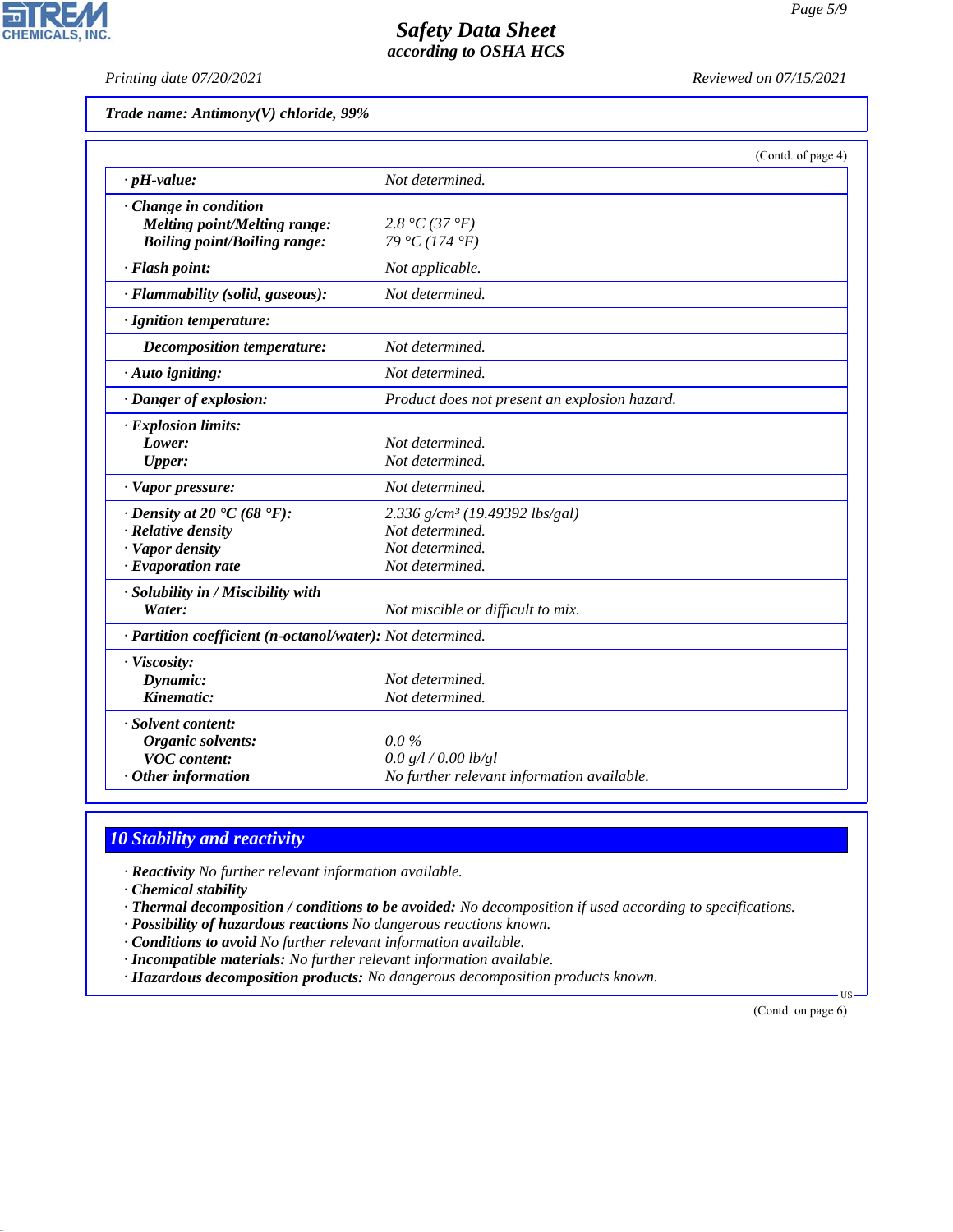*Printing date 07/20/2021 Reviewed on 07/15/2021*

|  | Trade name: Antimony(V) chloride, 99% |  |  |
|--|---------------------------------------|--|--|
|--|---------------------------------------|--|--|

|                                                            |                                               | (Contd. of page 4) |
|------------------------------------------------------------|-----------------------------------------------|--------------------|
| $\cdot$ pH-value:                                          | Not determined.                               |                    |
| Change in condition                                        |                                               |                    |
| Melting point/Melting range:                               | 2.8 °C (37 °F)                                |                    |
| <b>Boiling point/Boiling range:</b>                        | 79 °C (174 °F)                                |                    |
| · Flash point:                                             | Not applicable.                               |                    |
| · Flammability (solid, gaseous):                           | Not determined.                               |                    |
| · Ignition temperature:                                    |                                               |                    |
| Decomposition temperature:                                 | Not determined.                               |                    |
| $\cdot$ Auto igniting:                                     | Not determined.                               |                    |
| · Danger of explosion:                                     | Product does not present an explosion hazard. |                    |
| $\cdot$ Explosion limits:                                  |                                               |                    |
| Lower:                                                     | Not determined.                               |                    |
| <b>Upper:</b>                                              | Not determined.                               |                    |
| · Vapor pressure:                                          | Not determined.                               |                    |
| $\cdot$ Density at 20 $\cdot$ C (68 $\cdot$ F):            | 2.336 g/cm <sup>3</sup> (19.49392 lbs/gal)    |                    |
| · Relative density                                         | Not determined.                               |                    |
| · Vapor density                                            | Not determined.                               |                    |
| $\cdot$ Evaporation rate                                   | Not determined.                               |                    |
| · Solubility in / Miscibility with                         |                                               |                    |
| Water:                                                     | Not miscible or difficult to mix.             |                    |
| · Partition coefficient (n-octanol/water): Not determined. |                                               |                    |
| · Viscosity:                                               |                                               |                    |
| Dynamic:                                                   | Not determined.                               |                    |
| Kinematic:                                                 | Not determined.                               |                    |
| · Solvent content:                                         |                                               |                    |
| Organic solvents:                                          | $0.0\%$                                       |                    |
| <b>VOC</b> content:                                        | 0.0 g/l / 0.00 lb/gl                          |                    |
| Other information                                          | No further relevant information available.    |                    |

# *10 Stability and reactivity*

*· Reactivity No further relevant information available.*

*· Chemical stability*

44.1.1

- *· Thermal decomposition / conditions to be avoided: No decomposition if used according to specifications.*
- *· Possibility of hazardous reactions No dangerous reactions known.*
- *· Conditions to avoid No further relevant information available.*
- *· Incompatible materials: No further relevant information available.*
- *· Hazardous decomposition products: No dangerous decomposition products known.*

(Contd. on page 6)

US

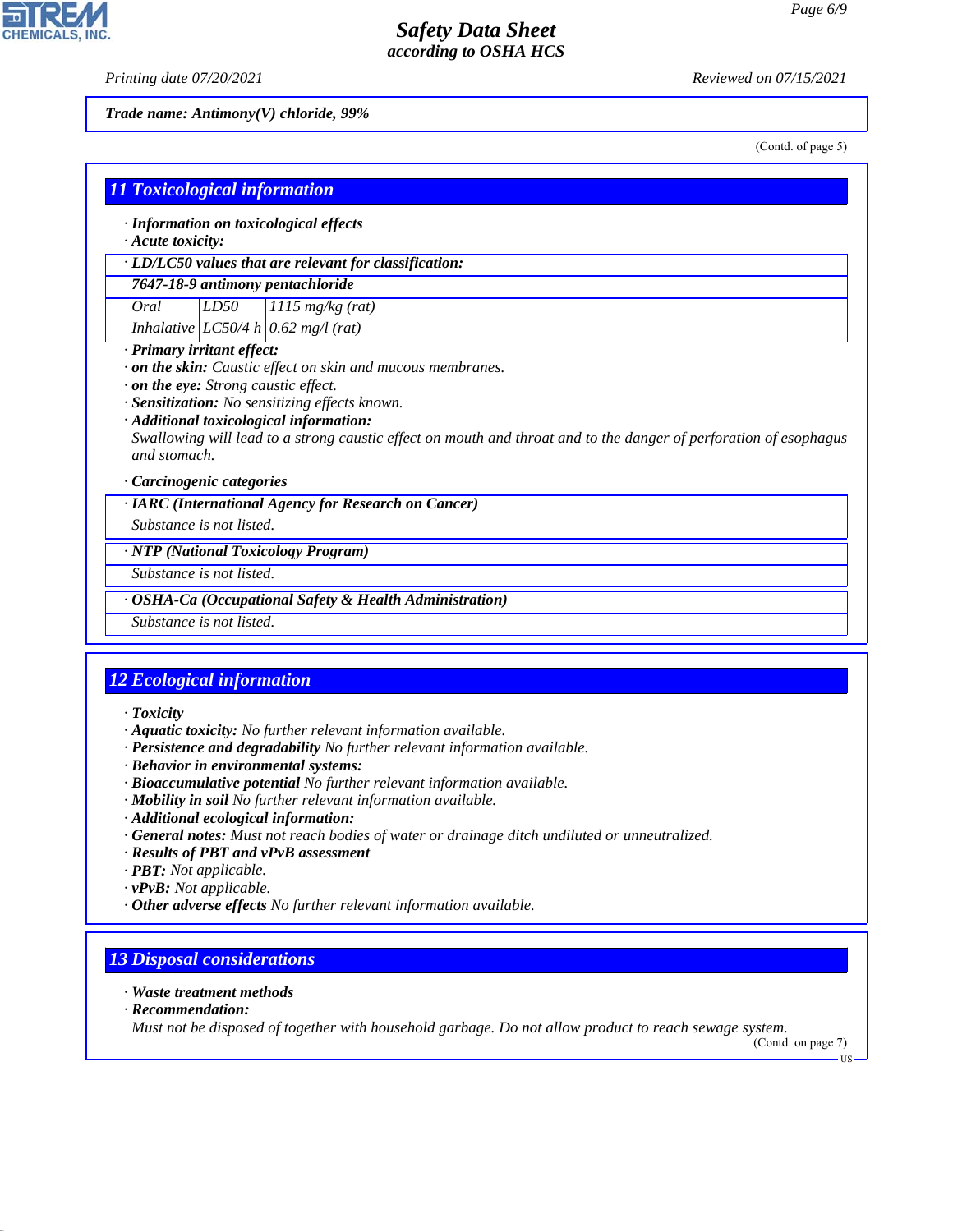*Printing date 07/20/2021 Reviewed on 07/15/2021*

**CHEMICALS, INC.** 

*Trade name: Antimony(V) chloride, 99%*

(Contd. of page 5)

|                                                                                                                                                                                                                                                                        |                          | · LD/LC50 values that are relevant for classification: |  |
|------------------------------------------------------------------------------------------------------------------------------------------------------------------------------------------------------------------------------------------------------------------------|--------------------------|--------------------------------------------------------|--|
|                                                                                                                                                                                                                                                                        |                          | 7647-18-9 antimony pentachloride                       |  |
| Oral                                                                                                                                                                                                                                                                   | LD50                     | $1115$ mg/kg (rat)                                     |  |
| · Primary irritant effect:                                                                                                                                                                                                                                             |                          | Inhalative LC50/4 h $0.62$ mg/l (rat)                  |  |
| . on the eye: Strong caustic effect.<br>· Sensitization: No sensitizing effects known.<br>· Additional toxicological information:<br>Swallowing will lead to a strong caustic effect on mouth and throat and to the danger of perforation of esophagus<br>and stomach. |                          |                                                        |  |
| · Carcinogenic categories                                                                                                                                                                                                                                              |                          | · IARC (International Agency for Research on Cancer)   |  |
| Substance is not listed.                                                                                                                                                                                                                                               |                          |                                                        |  |
|                                                                                                                                                                                                                                                                        |                          | · NTP (National Toxicology Program)                    |  |
| Substance is not listed.                                                                                                                                                                                                                                               |                          |                                                        |  |
| <b>OSHA-Ca (Occupational Safety &amp; Health Administration)</b>                                                                                                                                                                                                       |                          |                                                        |  |
|                                                                                                                                                                                                                                                                        | Substance is not listed. |                                                        |  |

- *· Aquatic toxicity: No further relevant information available.*
- *· Persistence and degradability No further relevant information available.*
- *· Behavior in environmental systems:*
- *· Bioaccumulative potential No further relevant information available.*
- *· Mobility in soil No further relevant information available.*
- *· Additional ecological information:*
- *· General notes: Must not reach bodies of water or drainage ditch undiluted or unneutralized.*
- *· Results of PBT and vPvB assessment*
- *· PBT: Not applicable.*
- *· vPvB: Not applicable.*
- *· Other adverse effects No further relevant information available.*

# *13 Disposal considerations*

- *· Waste treatment methods*
- *· Recommendation:*

44.1.1

*Must not be disposed of together with household garbage. Do not allow product to reach sewage system.*

(Contd. on page 7) US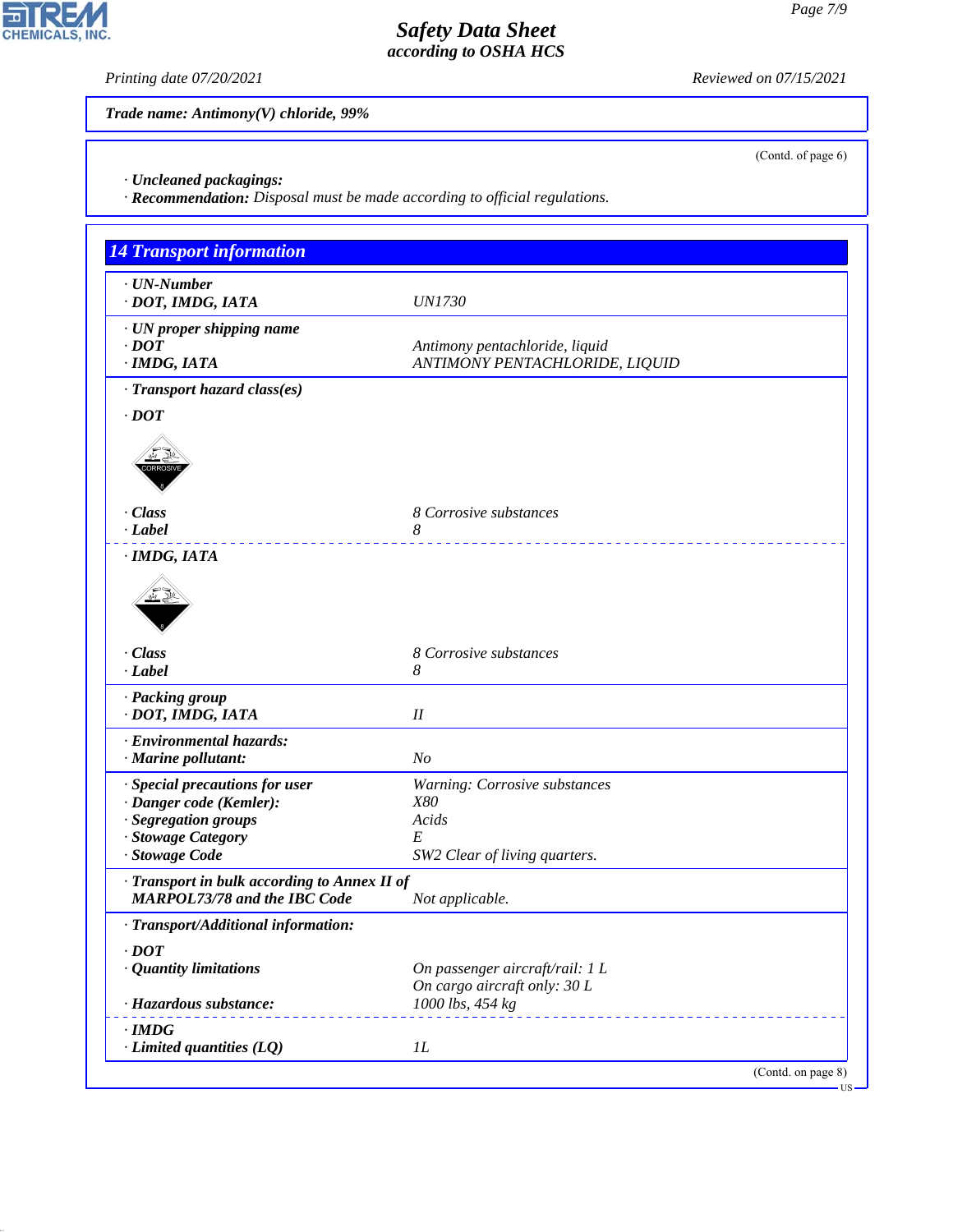(Contd. of page 6)

## *Safety Data Sheet according to OSHA HCS*

*Printing date 07/20/2021 Reviewed on 07/15/2021*

*Trade name: Antimony(V) chloride, 99%*

*· Uncleaned packagings:*

CHEMICALS, INC.

44.1.1

*· Recommendation: Disposal must be made according to official regulations.*

| <b>14 Transport information</b>                 |                                 |
|-------------------------------------------------|---------------------------------|
| $\cdot$ UN-Number                               |                                 |
| · DOT, IMDG, IATA                               | <b>UN1730</b>                   |
| · UN proper shipping name                       |                                 |
| $\cdot$ <i>DOT</i>                              | Antimony pentachloride, liquid  |
| $·$ <i>IMDG, IATA</i>                           | ANTIMONY PENTACHLORIDE, LIQUID  |
| · Transport hazard class(es)                    |                                 |
| $\cdot$ DOT                                     |                                 |
|                                                 |                                 |
|                                                 |                                 |
| · Class                                         | 8 Corrosive substances          |
| · Label                                         | 8                               |
| · IMDG, IATA                                    |                                 |
|                                                 |                                 |
| · Class                                         | 8 Corrosive substances          |
| · Label                                         | 8                               |
| · Packing group<br>· DOT, IMDG, IATA            | $I\!I$                          |
| · Environmental hazards:                        |                                 |
| · Marine pollutant:                             | N <sub>o</sub>                  |
| · Special precautions for user                  | Warning: Corrosive substances   |
| · Danger code (Kemler):<br>· Segregation groups | X80<br>Acids                    |
| · Stowage Category                              | E                               |
| · Stowage Code                                  | SW2 Clear of living quarters.   |
| · Transport in bulk according to Annex II of    |                                 |
| <b>MARPOL73/78 and the IBC Code</b>             | Not applicable.                 |
| · Transport/Additional information:             |                                 |
| $\cdot$ DOT                                     |                                 |
| · Quantity limitations                          | On passenger aircraft/rail: 1 L |
|                                                 | On cargo aircraft only: 30 L    |
| · Hazardous substance:                          | 1000 lbs, 454 kg                |
| $\cdot$ IMDG                                    |                                 |
| $\cdot$ Limited quantities (LQ)                 | IL                              |

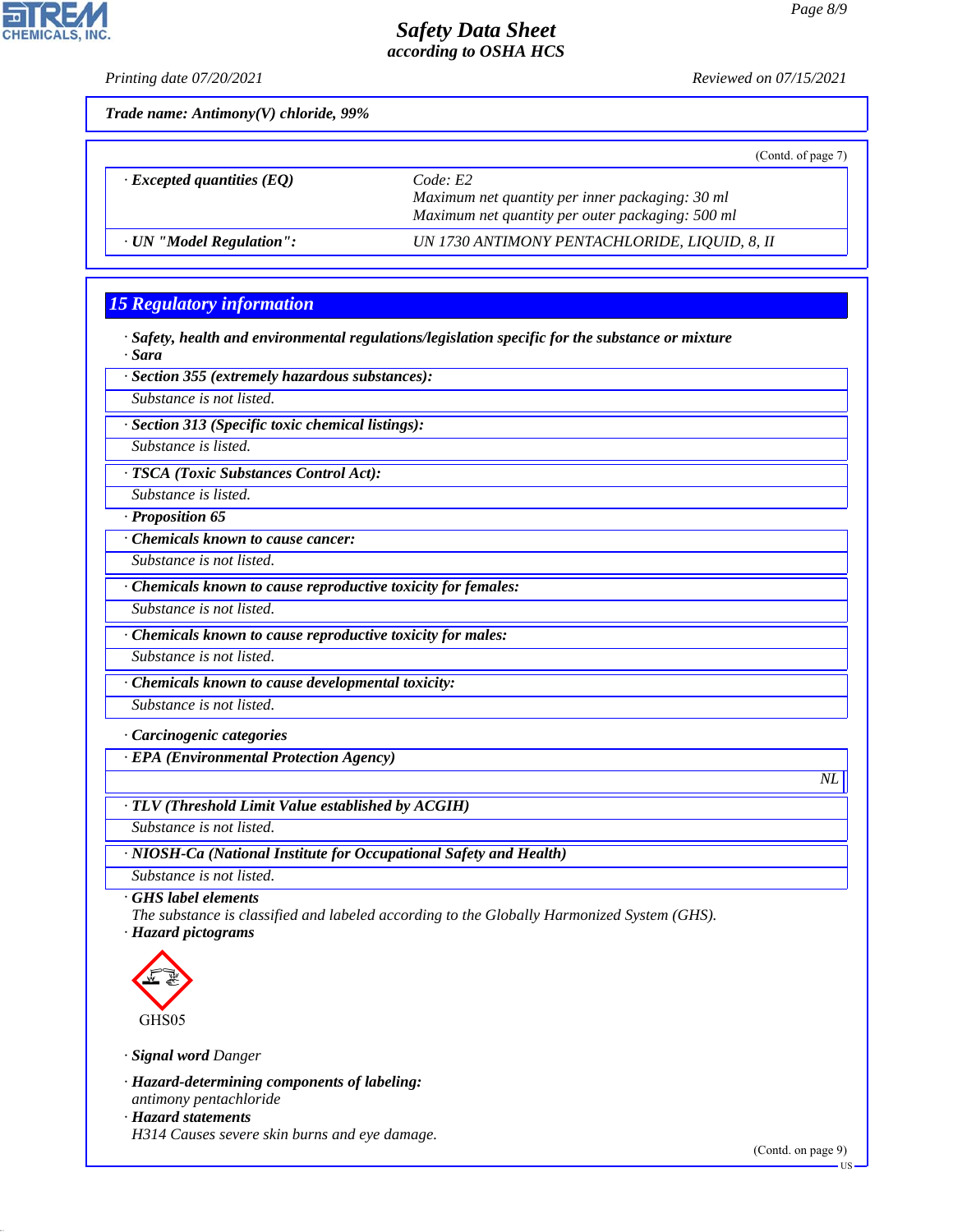*Printing date 07/20/2021 Reviewed on 07/15/2021*

**CHEMICALS, INC** 

*Trade name: Antimony(V) chloride, 99%*

|                                  | (Contd. of page 7)                                                                                             |
|----------------------------------|----------------------------------------------------------------------------------------------------------------|
| $\cdot$ Excepted quantities (EQ) | Code E2<br>Maximum net quantity per inner packaging: 30 ml<br>Maximum net quantity per outer packaging: 500 ml |
| · UN "Model Regulation":         | UN 1730 ANTIMONY PENTACHLORIDE, LIQUID, 8, II                                                                  |

#### *15 Regulatory information*

*· Safety, health and environmental regulations/legislation specific for the substance or mixture · Sara*

*· Section 355 (extremely hazardous substances):*

*Substance is not listed.*

*· Section 313 (Specific toxic chemical listings):*

*Substance is listed.*

*· TSCA (Toxic Substances Control Act):*

*Substance is listed.*

*· Proposition 65*

*· Chemicals known to cause cancer:*

*Substance is not listed.*

*· Chemicals known to cause reproductive toxicity for females:*

*Substance is not listed.*

*· Chemicals known to cause reproductive toxicity for males:*

*Substance is not listed.*

*· Chemicals known to cause developmental toxicity:*

*Substance is not listed.*

*· Carcinogenic categories*

*· EPA (Environmental Protection Agency)*

*· TLV (Threshold Limit Value established by ACGIH)*

*Substance is not listed.*

*· NIOSH-Ca (National Institute for Occupational Safety and Health)*

*Substance is not listed.*

*· GHS label elements*

*The substance is classified and labeled according to the Globally Harmonized System (GHS). · Hazard pictograms*



44.1.1

*· Signal word Danger*

*· Hazard-determining components of labeling: antimony pentachloride*

*· Hazard statements*

*H314 Causes severe skin burns and eye damage.*

*NL*